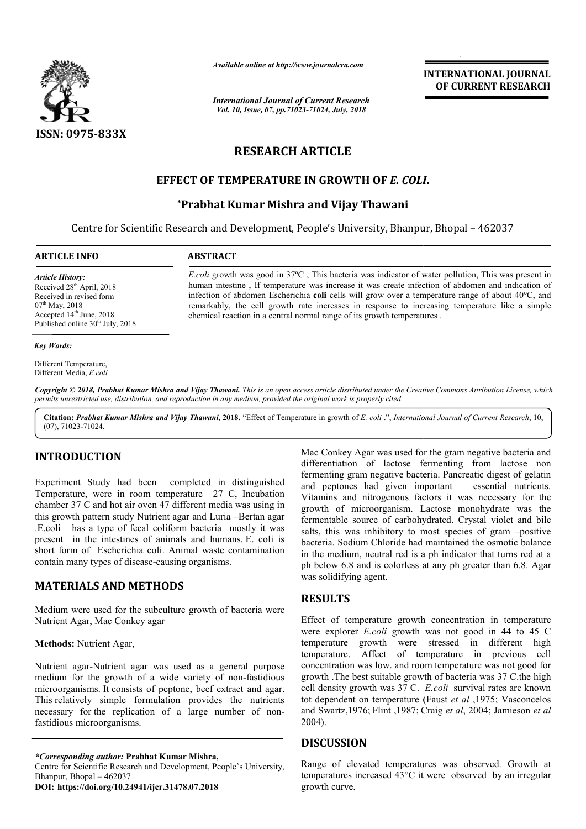

*Available online at http://www.journalcra.com*

*International Journal of Current Research Vol. 10, Issue, 07, pp.71023-71024, July, 2018*

**INTERNATIONAL JOURNAL OF CURRENT RESEARCH**

# **RESEARCH ARTICLE**

# **EFFECT OF TEMPERATURE IN GROWTH OF**  *E. COLI COLI***.**

# **\*Prabhat Kumar Mishra and Vijay Thawani Prabhat**

Centre for Scientific Research and Development, People's University, Bhanpur, Bhopal - 462037

*E.coli* growth was good in 37ºC , This bacteria was indicator of water pollution, This was present in human intestine , If temperature was increase it was create infection of abdomen and indication of infection of abdomen Escherichia **coli** cells will grow over a temperature range of about 40°C, and remarkably, the cell growth rate increases in response to increasing temperature like a simple

*E.coli* growth was good in 37°C, This bacteria was indicator of water pollution, This was present in human intestine, If temperature was increase it was create infection of abdomen and indication of infection of abdomen E

#### **ARTICLE INFO ABSTRACT**

*Article History:* Received 28<sup>th</sup> April, 2018 Received in revised form 07<sup>th</sup> May, 2018 Accepted  $14<sup>th</sup>$  June, 2018 Published online  $30<sup>th</sup>$  July, 2018

#### *Key Words:*

Different Temperature, Different Media, *E.coli*

Copyright © 2018, Prabhat Kumar Mishra and Vijay Thawani. This is an open access article distributed under the Creative Commons Attribution License, which permits unrestricted use, distribution, and reproduction in any medium, provided the original work is properly cited.

chemical reaction in a central normal range of its growth temperatures .

**Citation:** *Prabhat Kumar Mishra and Vijay Thawani* **, 2018.** "Effect of Temperature in growth of *E. coli* .", *International Journal of Current Research Journal* , 10, (07), 71023-71024.

# **INTRODUCTION**

Experiment Study had been completed in distinguished Temperature, were in room temperature 27 C, Incubation chamber 37 C and hot air oven 47 different media was using in this growth pattern study Nutrient agar and Luria –Bertan agar .E.coli has a type of fecal coliform bacteria mostly it was present in the intestines of animals and humans. E. coli is short form of Escherichia coli. Animal waste contamination contain many types of disease-causing organisms.

# **MATERIALS AND METHODS**

Medium were used for the subculture growth of bacteria were Nutrient Agar, Mac Conkey agar Figures of disease-causing organisms.<br> **SAND METHODS**<br>
used for the subculture growth of bacteria were<br>
Mac Conkey agar<br>
rient Agar,<br>
Nutrient agar was used as a general purpose<br>
ne growth of a wide variety of non-fastidio

#### **Methods:** Nutrient Agar,

Nutrient agar-Nutrient agar was used as a general purpose medium for the growth of a wide variety of non-fastidious microorganisms. It consists of peptone, beef extract and agar. This relatively simple formulation provides the nutrients necessary for the replication of a large number of nonfastidious microorganisms.

### *\*Corresponding author:* **Prabhat Kumar Mishra Mishra,**

Centre for Scientific Research and Development, People's University, Bhanpur, Bhopal – 462037

**DOI: https://doi.org/10.24941/ijcr.31478.07.2018**

Mac Conkey Agar was sued for the gram negative bacteria and<br>
ifferentianity of actose fermenting from lactose non<br>
fermenting gram negative bacteria. Pancreatic digest of gelatin<br>
ture 27 C, Incubation and periones had giv differentiation of lactose fermenting from lactose non fermenting gram negative bacteria. Pancreatic digest of gelatin and peptones had given important essential nutrients. Vitamins and nitrogenous factors it was necessary for the Mac Conkey Agar was used for the gram negative bacteria and differentiation of lactose fermenting from lactose non fermenting gram negative bacteria. Pancreatic digest of gelatin and peptones had given important essential fermentable source of carbohydrated. Crystal violet and bile salts, this was inhibitory to most species of gram -positive bacteria. Sodium Chloride had maintained the osmotic balance in the medium, neutral red is a ph indicator that turns red at a ph below 6.8 and is colorless at any ph greater than 6.8. was solidifying agent. Chloride had maintained the osmotic balance<br>utral red is a ph indicator that turns red at a<br>is colorless at any ph greater than 6.8. Agar INTERNATIONAL JOURNAL<br>
INTERNATIONAL JOURNAL<br>
INTERNATIONAL JOURNAL<br>
INTERNATIONAL JOURNAL<br>
INTERNATIONAL TORENT RESEARCH<br>
CLE<br>
CLE<br>
COWTH OF *E. COLI.*<br>
Vijay Thawani<br>
Subiversity, Bhampur, Bhopal – 462037<br>
was rease in

# **RESULTS**

Effect of temperature growth concentration in temperature were explorer *E.coli* growth was not good in 44 to 45 C temperature growth were stressed in different high temperature. Affect of temperature in previous cell concentration was low. and room temperature was not good for concentration was low. and room temperature was not good for growth .The best suitable growth of bacteria was 37 C.the high cell density growth was 37 C. *E.coli* survival rates are known tot dependent on temperature (Faust *et al* ,1975; Vasconcelos and Swartz,1976; Flint ,1987; Craig *et al*, 2004; Jamieson *et al* 2004). temperature growth concentration in temperature<br>orer *E.coli* growth was not good in 44 to 45 C<br>e growth were stressed in different high<br>e. Affect of temperature in previous cell

### **DISCUSSION**

Range of elevated temperatures was observed. Growth at temperatures increased 43°C it were observed by an irregular growth curve.